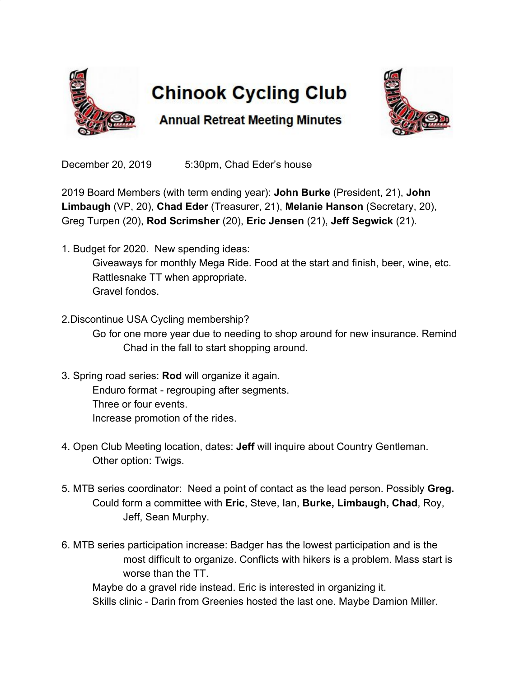

## **Chinook Cycling Club**



**Annual Retreat Meeting Minutes** 

December 20, 2019 5:30pm, Chad Eder's house

2019 Board Members (with term ending year): **John Burke** (President, 21), **John Limbaugh** (VP, 20), **Chad Eder** (Treasurer, 21), **Melanie Hanson** (Secretary, 20), Greg Turpen (20), **Rod Scrimsher** (20), **Eric Jensen** (21), **Jeff Segwick** (21).

- 1. Budget for 2020. New spending ideas: Giveaways for monthly Mega Ride. Food at the start and finish, beer, wine, etc. Rattlesnake TT when appropriate. Gravel fondos.
- 2.Discontinue USA Cycling membership?

Go for one more year due to needing to shop around for new insurance. Remind Chad in the fall to start shopping around.

- 3. Spring road series: **Rod** will organize it again. Enduro format - regrouping after segments. Three or four events. Increase promotion of the rides.
- 4. Open Club Meeting location, dates: **Jeff** will inquire about Country Gentleman. Other option: Twigs.
- 5. MTB series coordinator: Need a point of contact as the lead person. Possibly **Greg.** Could form a committee with **Eric**, Steve, Ian, **Burke, Limbaugh, Chad**, Roy, Jeff, Sean Murphy.
- 6. MTB series participation increase: Badger has the lowest participation and is the most difficult to organize. Conflicts with hikers is a problem. Mass start is worse than the TT.

Maybe do a gravel ride instead. Eric is interested in organizing it. Skills clinic - Darin from Greenies hosted the last one. Maybe Damion Miller.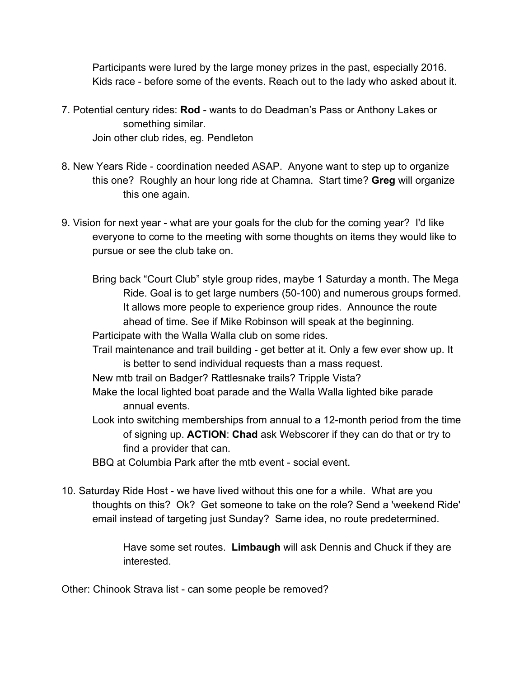Participants were lured by the large money prizes in the past, especially 2016. Kids race - before some of the events. Reach out to the lady who asked about it.

- 7. Potential century rides: **Rod** wants to do Deadman's Pass or Anthony Lakes or something similar. Join other club rides, eg. Pendleton
- 8. New Years Ride coordination needed ASAP. Anyone want to step up to organize this one? Roughly an hour long ride at Chamna. Start time? **Greg** will organize this one again.
- 9. Vision for next year what are your goals for the club for the coming year? I'd like everyone to come to the meeting with some thoughts on items they would like to pursue or see the club take on.
	- Bring back "Court Club" style group rides, maybe 1 Saturday a month. The Mega Ride. Goal is to get large numbers (50-100) and numerous groups formed. It allows more people to experience group rides. Announce the route ahead of time. See if Mike Robinson will speak at the beginning.
	- Participate with the Walla Walla club on some rides.
	- Trail maintenance and trail building get better at it. Only a few ever show up. It is better to send individual requests than a mass request.
	- New mtb trail on Badger? Rattlesnake trails? Tripple Vista?
	- Make the local lighted boat parade and the Walla Walla lighted bike parade annual events.
	- Look into switching memberships from annual to a 12-month period from the time of signing up. **ACTION**: **Chad** ask Webscorer if they can do that or try to find a provider that can.
	- BBQ at Columbia Park after the mtb event social event.
- 10. Saturday Ride Host we have lived without this one for a while. What are you thoughts on this? Ok? Get someone to take on the role? Send a 'weekend Ride' email instead of targeting just Sunday? Same idea, no route predetermined.

Have some set routes. **Limbaugh** will ask Dennis and Chuck if they are interested.

Other: Chinook Strava list - can some people be removed?